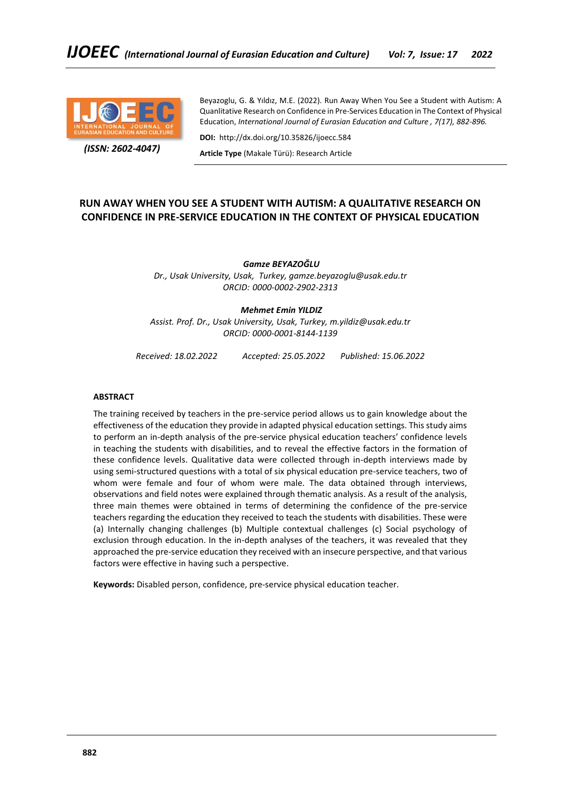

 *(ISSN: 2602-4047)*

Beyazoglu, G. & Yıldız, M.E. (2022). Run Away When You See a Student with Autism: A Quanlitative Research on Confidence in Pre-Services Education in The Context of Physical Education, *International Journal of Eurasian Education and Culture , 7(17), 882-896.*

**DOI:** http://dx.doi.org/10.35826/ijoecc.584

**Article Type** (Makale Türü): Research Article

## **RUN AWAY WHEN YOU SEE A STUDENT WITH AUTISM: A QUALITATIVE RESEARCH ON CONFIDENCE IN PRE-SERVICE EDUCATION IN THE CONTEXT OF PHYSICAL EDUCATION**

*Gamze BEYAZOĞLU Dr., Usak University, Usak, Turkey, gamze.beyazoglu@usak.edu.tr ORCID: 0000-0002-2902-2313*

## *Mehmet Emin YILDIZ*

*Assist. Prof. Dr., Usak University, Usak, Turkey, m.yildiz@usak.edu.tr ORCID: 0000-0001-8144-1139*

*Received: 18.02.2022 Accepted: 25.05.2022 Published: 15.06.2022*

## **ABSTRACT**

The training received by teachers in the pre-service period allows us to gain knowledge about the effectiveness of the education they provide in adapted physical education settings. This study aims to perform an in-depth analysis of the pre-service physical education teachers' confidence levels in teaching the students with disabilities, and to reveal the effective factors in the formation of these confidence levels. Qualitative data were collected through in-depth interviews made by using semi-structured questions with a total of six physical education pre-service teachers, two of whom were female and four of whom were male. The data obtained through interviews, observations and field notes were explained through thematic analysis. As a result of the analysis, three main themes were obtained in terms of determining the confidence of the pre-service teachers regarding the education they received to teach the students with disabilities. These were (a) Internally changing challenges (b) Multiple contextual challenges (c) Social psychology of exclusion through education. In the in-depth analyses of the teachers, it was revealed that they approached the pre-service education they received with an insecure perspective, and that various factors were effective in having such a perspective.

**Keywords:** Disabled person, confidence, pre-service physical education teacher.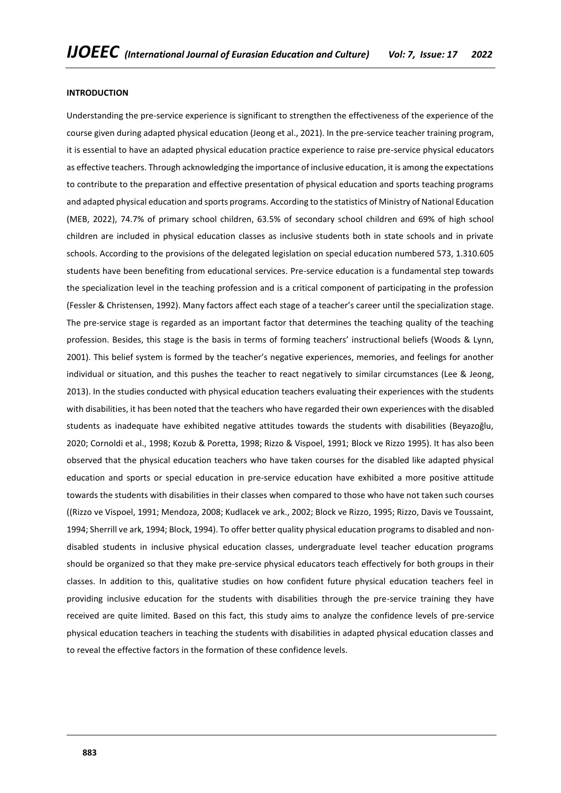### **INTRODUCTION**

Understanding the pre-service experience is significant to strengthen the effectiveness of the experience of the course given during adapted physical education (Jeong et al., 2021). In the pre-service teacher training program, it is essential to have an adapted physical education practice experience to raise pre-service physical educators as effective teachers. Through acknowledging the importance of inclusive education, it is among the expectations to contribute to the preparation and effective presentation of physical education and sports teaching programs and adapted physical education and sports programs. According to the statistics of Ministry of National Education (MEB, 2022), 74.7% of primary school children, 63.5% of secondary school children and 69% of high school children are included in physical education classes as inclusive students both in state schools and in private schools. According to the provisions of the delegated legislation on special education numbered 573, 1.310.605 students have been benefiting from educational services. Pre-service education is a fundamental step towards the specialization level in the teaching profession and is a critical component of participating in the profession (Fessler & Christensen, 1992). Many factors affect each stage of a teacher's career until the specialization stage. The pre-service stage is regarded as an important factor that determines the teaching quality of the teaching profession. Besides, this stage is the basis in terms of forming teachers' instructional beliefs (Woods & Lynn, 2001). This belief system is formed by the teacher's negative experiences, memories, and feelings for another individual or situation, and this pushes the teacher to react negatively to similar circumstances (Lee & Jeong, 2013). In the studies conducted with physical education teachers evaluating their experiences with the students with disabilities, it has been noted that the teachers who have regarded their own experiences with the disabled students as inadequate have exhibited negative attitudes towards the students with disabilities (Beyazoğlu, 2020; Cornoldi et al., 1998; Kozub & Poretta, 1998; Rizzo & Vispoel, 1991; Block ve Rizzo 1995). It has also been observed that the physical education teachers who have taken courses for the disabled like adapted physical education and sports or special education in pre-service education have exhibited a more positive attitude towards the students with disabilities in their classes when compared to those who have not taken such courses ((Rizzo ve Vispoel, 1991; Mendoza, 2008; Kudlacek ve ark., 2002; Block ve Rizzo, 1995; Rizzo, Davis ve Toussaint, 1994; Sherrill ve ark, 1994; Block, 1994). To offer better quality physical education programs to disabled and nondisabled students in inclusive physical education classes, undergraduate level teacher education programs should be organized so that they make pre-service physical educators teach effectively for both groups in their classes. In addition to this, qualitative studies on how confident future physical education teachers feel in providing inclusive education for the students with disabilities through the pre-service training they have received are quite limited. Based on this fact, this study aims to analyze the confidence levels of pre-service physical education teachers in teaching the students with disabilities in adapted physical education classes and to reveal the effective factors in the formation of these confidence levels.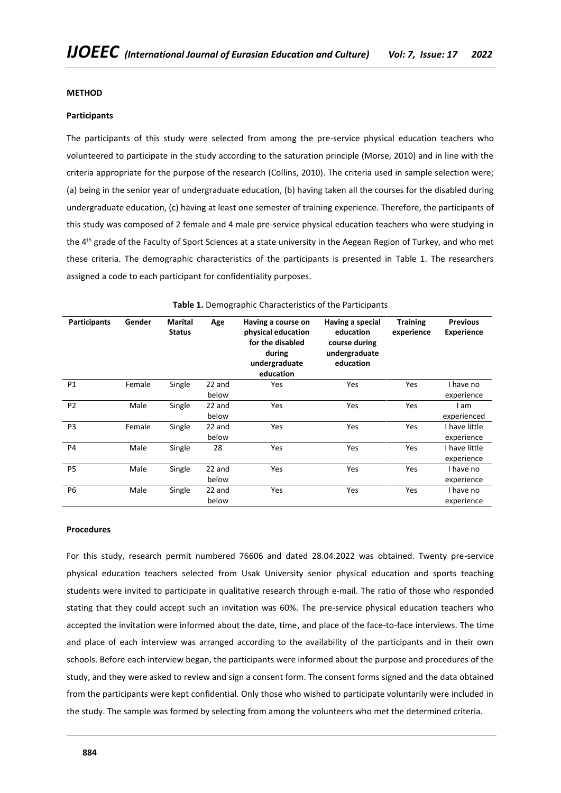## **METHOD**

## **Participants**

The participants of this study were selected from among the pre-service physical education teachers who volunteered to participate in the study according to the saturation principle (Morse, 2010) and in line with the criteria appropriate for the purpose of the research (Collins, 2010). The criteria used in sample selection were; (a) being in the senior year of undergraduate education, (b) having taken all the courses for the disabled during undergraduate education, (c) having at least one semester of training experience. Therefore, the participants of this study was composed of 2 female and 4 male pre-service physical education teachers who were studying in the 4<sup>th</sup> grade of the Faculty of Sport Sciences at a state university in the Aegean Region of Turkey, and who met these criteria. The demographic characteristics of the participants is presented in Table 1. The researchers assigned a code to each participant for confidentiality purposes.

| <b>Participants</b> | Gender | <b>Marital</b><br><b>Status</b> | Age             | Having a course on<br>physical education<br>for the disabled<br>during<br>undergraduate<br>education | Having a special<br>education<br>course during<br>undergraduate<br>education | <b>Training</b><br>experience | <b>Previous</b><br><b>Experience</b> |
|---------------------|--------|---------------------------------|-----------------|------------------------------------------------------------------------------------------------------|------------------------------------------------------------------------------|-------------------------------|--------------------------------------|
| P1                  | Female | Single                          | 22 and<br>below | <b>Yes</b>                                                                                           | Yes                                                                          | Yes                           | I have no<br>experience              |
| P <sub>2</sub>      | Male   | Single                          | 22 and<br>below | <b>Yes</b>                                                                                           | Yes                                                                          | Yes                           | am<br>experienced                    |
| P <sub>3</sub>      | Female | Single                          | 22 and<br>below | <b>Yes</b>                                                                                           | Yes                                                                          | Yes                           | I have little<br>experience          |
| P4                  | Male   | Single                          | 28              | <b>Yes</b>                                                                                           | Yes                                                                          | Yes                           | I have little<br>experience          |
| <b>P5</b>           | Male   | Single                          | 22 and<br>below | <b>Yes</b>                                                                                           | Yes                                                                          | Yes                           | I have no<br>experience              |
| P <sub>6</sub>      | Male   | Single                          | 22 and<br>below | Yes                                                                                                  | Yes                                                                          | Yes                           | I have no<br>experience              |

## **Table 1.** Demographic Characteristics of the Participants

## **Procedures**

For this study, research permit numbered 76606 and dated 28.04.2022 was obtained. Twenty pre-service physical education teachers selected from Usak University senior physical education and sports teaching students were invited to participate in qualitative research through e-mail. The ratio of those who responded stating that they could accept such an invitation was 60%. The pre-service physical education teachers who accepted the invitation were informed about the date, time, and place of the face-to-face interviews. The time and place of each interview was arranged according to the availability of the participants and in their own schools. Before each interview began, the participants were informed about the purpose and procedures of the study, and they were asked to review and sign a consent form. The consent forms signed and the data obtained from the participants were kept confidential. Only those who wished to participate voluntarily were included in the study. The sample was formed by selecting from among the volunteers who met the determined criteria.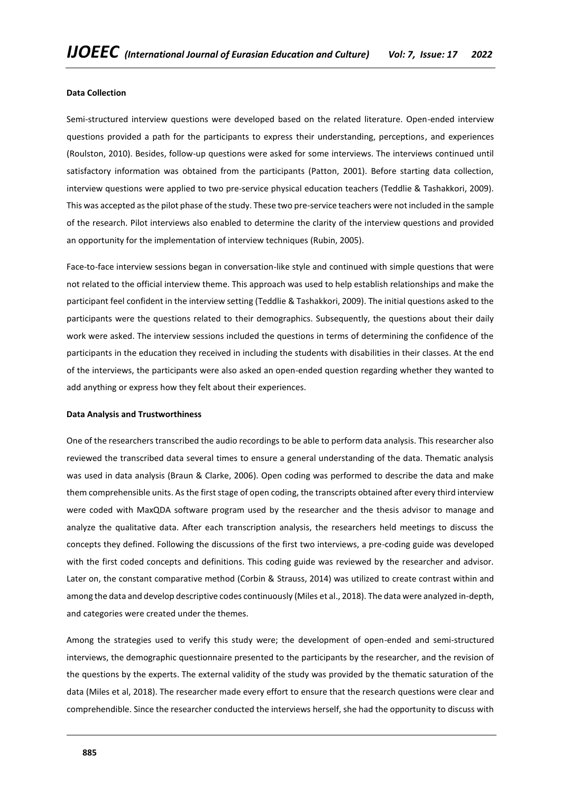### **Data Collection**

Semi-structured interview questions were developed based on the related literature. Open-ended interview questions provided a path for the participants to express their understanding, perceptions, and experiences (Roulston, 2010). Besides, follow-up questions were asked for some interviews. The interviews continued until satisfactory information was obtained from the participants (Patton, 2001). Before starting data collection, interview questions were applied to two pre-service physical education teachers (Teddlie & Tashakkori, 2009). This was accepted as the pilot phase of the study. These two pre-service teachers were not included in the sample of the research. Pilot interviews also enabled to determine the clarity of the interview questions and provided an opportunity for the implementation of interview techniques (Rubin, 2005).

Face-to-face interview sessions began in conversation-like style and continued with simple questions that were not related to the official interview theme. This approach was used to help establish relationships and make the participant feel confident in the interview setting (Teddlie & Tashakkori, 2009). The initial questions asked to the participants were the questions related to their demographics. Subsequently, the questions about their daily work were asked. The interview sessions included the questions in terms of determining the confidence of the participants in the education they received in including the students with disabilities in their classes. At the end of the interviews, the participants were also asked an open-ended question regarding whether they wanted to add anything or express how they felt about their experiences.

#### **Data Analysis and Trustworthiness**

One of the researchers transcribed the audio recordings to be able to perform data analysis. This researcher also reviewed the transcribed data several times to ensure a general understanding of the data. Thematic analysis was used in data analysis (Braun & Clarke, 2006). Open coding was performed to describe the data and make them comprehensible units. As the first stage of open coding, the transcripts obtained after every third interview were coded with MaxQDA software program used by the researcher and the thesis advisor to manage and analyze the qualitative data. After each transcription analysis, the researchers held meetings to discuss the concepts they defined. Following the discussions of the first two interviews, a pre-coding guide was developed with the first coded concepts and definitions. This coding guide was reviewed by the researcher and advisor. Later on, the constant comparative method (Corbin & Strauss, 2014) was utilized to create contrast within and among the data and develop descriptive codes continuously (Miles et al., 2018). The data were analyzed in-depth, and categories were created under the themes.

Among the strategies used to verify this study were; the development of open-ended and semi-structured interviews, the demographic questionnaire presented to the participants by the researcher, and the revision of the questions by the experts. The external validity of the study was provided by the thematic saturation of the data (Miles et al, 2018). The researcher made every effort to ensure that the research questions were clear and comprehendible. Since the researcher conducted the interviews herself, she had the opportunity to discuss with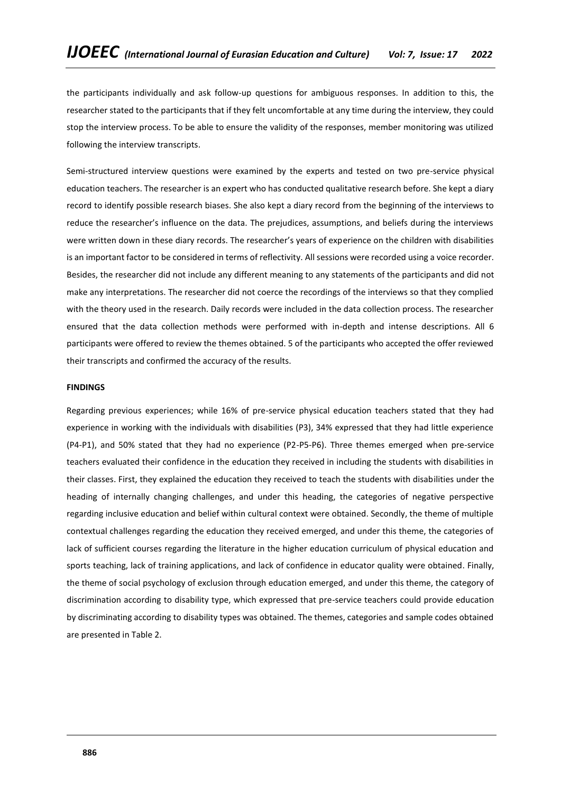the participants individually and ask follow-up questions for ambiguous responses. In addition to this, the researcher stated to the participants that if they felt uncomfortable at any time during the interview, they could stop the interview process. To be able to ensure the validity of the responses, member monitoring was utilized following the interview transcripts.

Semi-structured interview questions were examined by the experts and tested on two pre-service physical education teachers. The researcher is an expert who has conducted qualitative research before. She kept a diary record to identify possible research biases. She also kept a diary record from the beginning of the interviews to reduce the researcher's influence on the data. The prejudices, assumptions, and beliefs during the interviews were written down in these diary records. The researcher's years of experience on the children with disabilities is an important factor to be considered in terms of reflectivity. All sessions were recorded using a voice recorder. Besides, the researcher did not include any different meaning to any statements of the participants and did not make any interpretations. The researcher did not coerce the recordings of the interviews so that they complied with the theory used in the research. Daily records were included in the data collection process. The researcher ensured that the data collection methods were performed with in-depth and intense descriptions. All 6 participants were offered to review the themes obtained. 5 of the participants who accepted the offer reviewed their transcripts and confirmed the accuracy of the results.

## **FINDINGS**

Regarding previous experiences; while 16% of pre-service physical education teachers stated that they had experience in working with the individuals with disabilities (P3), 34% expressed that they had little experience (P4-P1), and 50% stated that they had no experience (P2-P5-P6). Three themes emerged when pre-service teachers evaluated their confidence in the education they received in including the students with disabilities in their classes. First, they explained the education they received to teach the students with disabilities under the heading of internally changing challenges, and under this heading, the categories of negative perspective regarding inclusive education and belief within cultural context were obtained. Secondly, the theme of multiple contextual challenges regarding the education they received emerged, and under this theme, the categories of lack of sufficient courses regarding the literature in the higher education curriculum of physical education and sports teaching, lack of training applications, and lack of confidence in educator quality were obtained. Finally, the theme of social psychology of exclusion through education emerged, and under this theme, the category of discrimination according to disability type, which expressed that pre-service teachers could provide education by discriminating according to disability types was obtained. The themes, categories and sample codes obtained are presented in Table 2.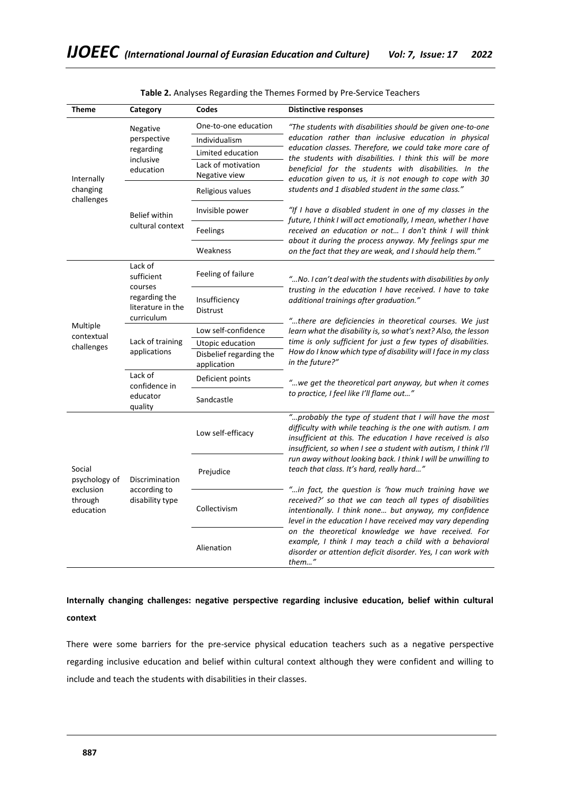| <b>Theme</b>                                                 | Category                                         | Codes                               | <b>Distinctive responses</b>                                                                                                                                                                                                                                                                                                                                           |  |  |
|--------------------------------------------------------------|--------------------------------------------------|-------------------------------------|------------------------------------------------------------------------------------------------------------------------------------------------------------------------------------------------------------------------------------------------------------------------------------------------------------------------------------------------------------------------|--|--|
|                                                              | Negative                                         | One-to-one education                | "The students with disabilities should be given one-to-one<br>education rather than inclusive education in physical<br>education classes. Therefore, we could take more care of<br>the students with disabilities. I think this will be more                                                                                                                           |  |  |
|                                                              | perspective                                      | Individualism                       |                                                                                                                                                                                                                                                                                                                                                                        |  |  |
|                                                              | regarding                                        | Limited education                   |                                                                                                                                                                                                                                                                                                                                                                        |  |  |
| Internally<br>changing<br>challenges                         | inclusive<br>education                           | Lack of motivation<br>Negative view | beneficial for the students with disabilities. In the<br>education given to us, it is not enough to cope with 30<br>students and 1 disabled student in the same class."                                                                                                                                                                                                |  |  |
|                                                              |                                                  | Religious values                    |                                                                                                                                                                                                                                                                                                                                                                        |  |  |
|                                                              | <b>Belief within</b>                             | Invisible power                     | "If I have a disabled student in one of my classes in the<br>future, I think I will act emotionally, I mean, whether I have<br>received an education or not I don't think I will think<br>about it during the process anyway. My feelings spur me                                                                                                                      |  |  |
|                                                              | cultural context                                 | Feelings                            |                                                                                                                                                                                                                                                                                                                                                                        |  |  |
|                                                              |                                                  | Weakness                            | on the fact that they are weak, and I should help them."                                                                                                                                                                                                                                                                                                               |  |  |
| Multiple<br>contextual<br>challenges                         | Lack of<br>sufficient<br>courses                 | Feeling of failure                  | "No. I can't deal with the students with disabilities by only<br>trusting in the education I have received. I have to take<br>additional trainings after graduation."<br>"there are deficiencies in theoretical courses. We just                                                                                                                                       |  |  |
|                                                              | regarding the<br>literature in the<br>curriculum | Insufficiency<br>Distrust           |                                                                                                                                                                                                                                                                                                                                                                        |  |  |
|                                                              |                                                  | Low self-confidence                 | learn what the disability is, so what's next? Also, the lesson                                                                                                                                                                                                                                                                                                         |  |  |
|                                                              | Lack of training                                 | Utopic education                    | time is only sufficient for just a few types of disabilities.                                                                                                                                                                                                                                                                                                          |  |  |
|                                                              | applications                                     | Disbelief regarding the             | How do I know which type of disability will I face in my class                                                                                                                                                                                                                                                                                                         |  |  |
|                                                              |                                                  | application                         | in the future?"                                                                                                                                                                                                                                                                                                                                                        |  |  |
|                                                              | Lack of<br>confidence in                         | Deficient points                    | "we get the theoretical part anyway, but when it comes                                                                                                                                                                                                                                                                                                                 |  |  |
|                                                              | educator<br>quality                              | Sandcastle                          | to practice, I feel like I'll flame out"                                                                                                                                                                                                                                                                                                                               |  |  |
| Social<br>psychology of<br>exclusion<br>through<br>education |                                                  | Low self-efficacy                   | "probably the type of student that I will have the most<br>difficulty with while teaching is the one with autism. I am<br>insufficient at this. The education I have received is also<br>insufficient, so when I see a student with autism, I think I'll<br>run away without looking back. I think I will be unwilling to<br>teach that class. It's hard, really hard" |  |  |
|                                                              | Discrimination                                   | Prejudice                           |                                                                                                                                                                                                                                                                                                                                                                        |  |  |
|                                                              | according to<br>disability type                  | Collectivism                        | "in fact, the question is 'how much training have we<br>received?' so that we can teach all types of disabilities<br>intentionally. I think none but anyway, my confidence<br>level in the education I have received may vary depending                                                                                                                                |  |  |
|                                                              |                                                  | Alienation                          | on the theoretical knowledge we have received. For<br>example, I think I may teach a child with a behavioral<br>disorder or attention deficit disorder. Yes, I can work with<br>them"                                                                                                                                                                                  |  |  |

# **Internally changing challenges: negative perspective regarding inclusive education, belief within cultural context**

There were some barriers for the pre-service physical education teachers such as a negative perspective regarding inclusive education and belief within cultural context although they were confident and willing to include and teach the students with disabilities in their classes.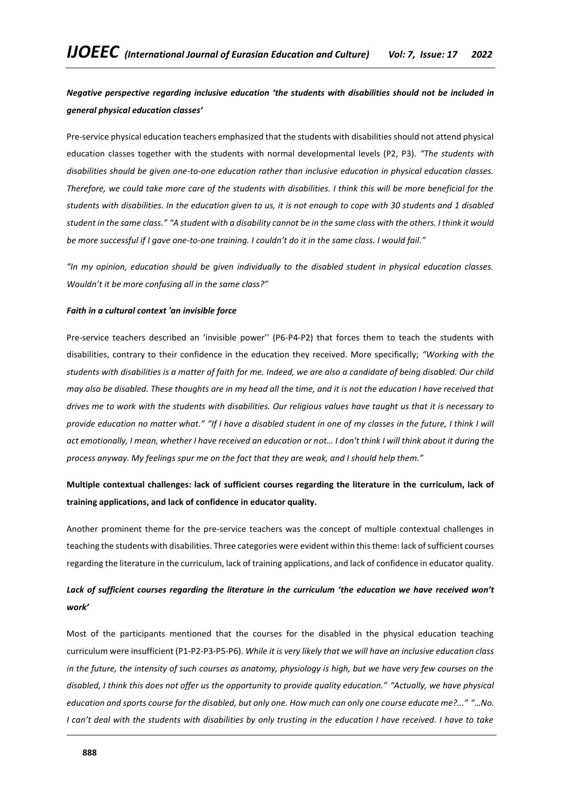# *Negative perspective regarding inclusive education 'the students with disabilities should not be included in general physical education classes'*

Pre-service physical education teachers emphasized that the students with disabilities should not attend physical education classes together with the students with normal developmental levels (P2, P3). *"The students with disabilities should be given one-to-one education rather than inclusive education in physical education classes. Therefore, we could take more care of the students with disabilities. I think this will be more beneficial for the students with disabilities. In the education given to us, it is not enough to cope with 30 students and 1 disabled student in the same class." "A student with a disability cannot be in the same class with the others. I think it would be more successful if I gave one-to-one training. I couldn't do it in the same class. I would fail."*

*"In my opinion, education should be given individually to the disabled student in physical education classes. Wouldn't it be more confusing all in the same class?"*

## *Faith in a cultural context 'an invisible force*

Pre-service teachers described an 'invisible power'' (P6-P4-P2) that forces them to teach the students with disabilities, contrary to their confidence in the education they received. More specifically; *"Working with the students with disabilities is a matter of faith for me. Indeed, we are also a candidate of being disabled. Our child may also be disabled. These thoughts are in my head all the time, and it is not the education I have received that drives me to work with the students with disabilities. Our religious values have taught us that it is necessary to provide education no matter what." "If I have a disabled student in one of my classes in the future, I think I will act emotionally, I mean, whether I have received an education or not… I don't think I will think about it during the process anyway. My feelings spur me on the fact that they are weak, and I should help them."*

# **Multiple contextual challenges: lack of sufficient courses regarding the literature in the curriculum, lack of training applications, and lack of confidence in educator quality.**

Another prominent theme for the pre-service teachers was the concept of multiple contextual challenges in teaching the students with disabilities. Three categories were evident within this theme: lack of sufficient courses regarding the literature in the curriculum, lack of training applications, and lack of confidence in educator quality.

# *Lack of sufficient courses regarding the literature in the curriculum 'the education we have received won't work'*

Most of the participants mentioned that the courses for the disabled in the physical education teaching curriculum were insufficient (P1-P2-P3-P5-P6). *While it is very likely that we will have an inclusive education class in the future, the intensity of such courses as anatomy, physiology is high, but we have very few courses on the disabled, I think this does not offer us the opportunity to provide quality education." "Actually, we have physical education and sports course for the disabled, but only one. How much can only one course educate me?..." "…No. I can't deal with the students with disabilities by only trusting in the education I have received. I have to take*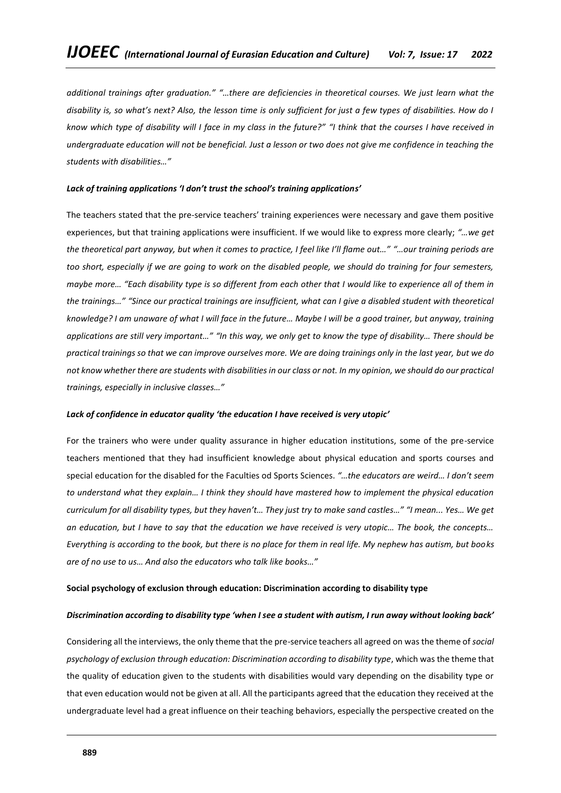*additional trainings after graduation." "…there are deficiencies in theoretical courses. We just learn what the disability is, so what's next? Also, the lesson time is only sufficient for just a few types of disabilities. How do I know which type of disability will I face in my class in the future?" "I think that the courses I have received in undergraduate education will not be beneficial. Just a lesson or two does not give me confidence in teaching the students with disabilities…"*

## *Lack of training applications 'I don't trust the school's training applications'*

The teachers stated that the pre-service teachers' training experiences were necessary and gave them positive experiences, but that training applications were insufficient. If we would like to express more clearly; *"…we get the theoretical part anyway, but when it comes to practice, I feel like I'll flame out…" "…our training periods are too short, especially if we are going to work on the disabled people, we should do training for four semesters, maybe more… "Each disability type is so different from each other that I would like to experience all of them in the trainings…" "Since our practical trainings are insufficient, what can I give a disabled student with theoretical knowledge? I am unaware of what I will face in the future… Maybe I will be a good trainer, but anyway, training applications are still very important…" "In this way, we only get to know the type of disability… There should be practical trainings so that we can improve ourselves more. We are doing trainings only in the last year, but we do not know whether there are students with disabilities in our class or not. In my opinion, we should do our practical trainings, especially in inclusive classes…"*

### *Lack of confidence in educator quality 'the education I have received is very utopic'*

For the trainers who were under quality assurance in higher education institutions, some of the pre-service teachers mentioned that they had insufficient knowledge about physical education and sports courses and special education for the disabled for the Faculties od Sports Sciences. *"…the educators are weird… I don't seem to understand what they explain… I think they should have mastered how to implement the physical education curriculum for all disability types, but they haven't… They just try to make sand castles…" "I mean... Yes… We get an education, but I have to say that the education we have received is very utopic… The book, the concepts… Everything is according to the book, but there is no place for them in real life. My nephew has autism, but books are of no use to us… And also the educators who talk like books…"*

### **Social psychology of exclusion through education: Discrimination according to disability type**

### *Discrimination according to disability type 'when I see a student with autism, I run away without looking back'*

Considering all the interviews, the only theme that the pre-service teachers all agreed on was the theme of *social psychology of exclusion through education: Discrimination according to disability type*, which was the theme that the quality of education given to the students with disabilities would vary depending on the disability type or that even education would not be given at all. All the participants agreed that the education they received at the undergraduate level had a great influence on their teaching behaviors, especially the perspective created on the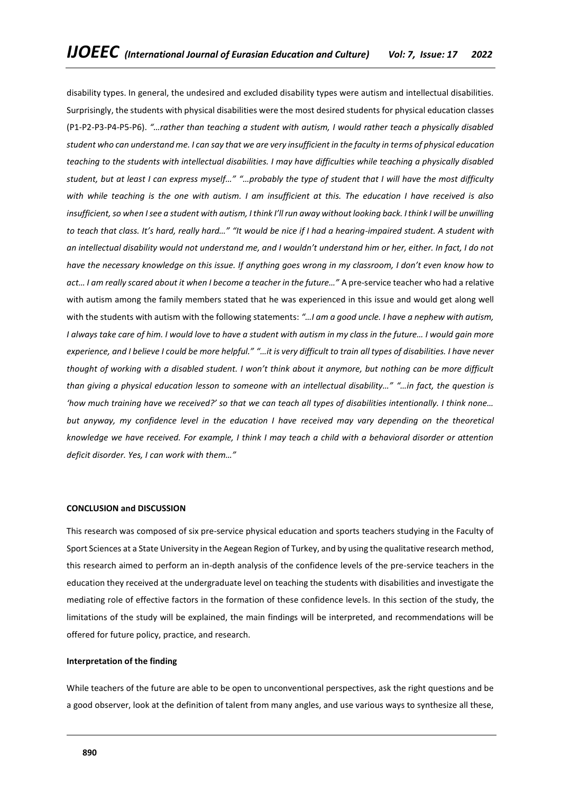disability types. In general, the undesired and excluded disability types were autism and intellectual disabilities. Surprisingly, the students with physical disabilities were the most desired students for physical education classes (P1-P2-P3-P4-P5-P6). *"…rather than teaching a student with autism, I would rather teach a physically disabled student who can understand me. I can say that we are very insufficient in the faculty in terms of physical education teaching to the students with intellectual disabilities. I may have difficulties while teaching a physically disabled student, but at least I can express myself…" "…probably the type of student that I will have the most difficulty with while teaching is the one with autism. I am insufficient at this. The education I have received is also insufficient, so when I see a student with autism, I think I'll run away without looking back. I think I will be unwilling to teach that class. It's hard, really hard…" "It would be nice if I had a hearing-impaired student. A student with an intellectual disability would not understand me, and I wouldn't understand him or her, either. In fact, I do not have the necessary knowledge on this issue. If anything goes wrong in my classroom, I don't even know how to act… I am really scared about it when I become a teacher in the future…"* A pre-service teacher who had a relative with autism among the family members stated that he was experienced in this issue and would get along well with the students with autism with the following statements: *"…I am a good uncle. I have a nephew with autism, I always take care of him. I would love to have a student with autism in my class in the future… I would gain more experience, and I believe I could be more helpful." "…it is very difficult to train all types of disabilities. I have never thought of working with a disabled student. I won't think about it anymore, but nothing can be more difficult than giving a physical education lesson to someone with an intellectual disability…" "…in fact, the question is 'how much training have we received?' so that we can teach all types of disabilities intentionally. I think none… but anyway, my confidence level in the education I have received may vary depending on the theoretical knowledge we have received. For example, I think I may teach a child with a behavioral disorder or attention deficit disorder. Yes, I can work with them…"*

### **CONCLUSION and DISCUSSION**

This research was composed of six pre-service physical education and sports teachers studying in the Faculty of Sport Sciences at a State University in the Aegean Region of Turkey, and by using the qualitative research method, this research aimed to perform an in-depth analysis of the confidence levels of the pre-service teachers in the education they received at the undergraduate level on teaching the students with disabilities and investigate the mediating role of effective factors in the formation of these confidence levels. In this section of the study, the limitations of the study will be explained, the main findings will be interpreted, and recommendations will be offered for future policy, practice, and research.

## **Interpretation of the finding**

While teachers of the future are able to be open to unconventional perspectives, ask the right questions and be a good observer, look at the definition of talent from many angles, and use various ways to synthesize all these,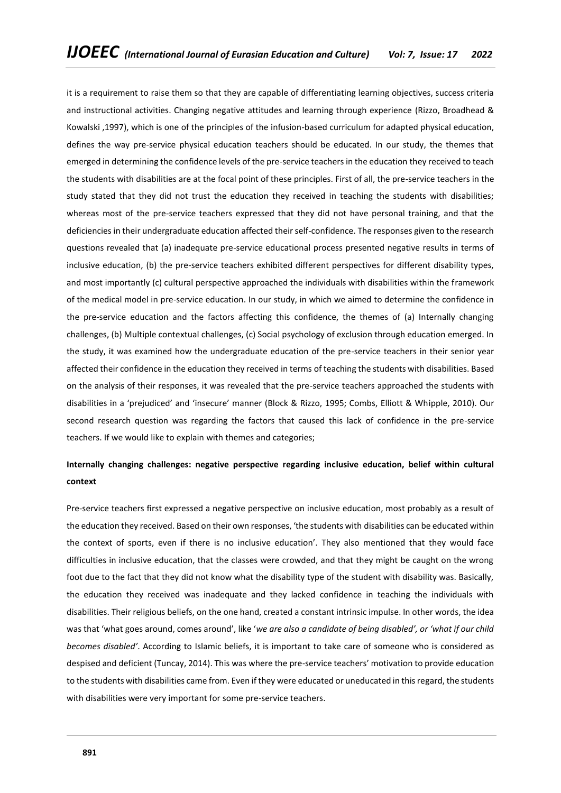it is a requirement to raise them so that they are capable of differentiating learning objectives, success criteria and instructional activities. Changing negative attitudes and learning through experience (Rizzo, Broadhead & Kowalski ,1997), which is one of the principles of the infusion-based curriculum for adapted physical education, defines the way pre-service physical education teachers should be educated. In our study, the themes that emerged in determining the confidence levels of the pre-service teachers in the education they received to teach the students with disabilities are at the focal point of these principles. First of all, the pre-service teachers in the study stated that they did not trust the education they received in teaching the students with disabilities; whereas most of the pre-service teachers expressed that they did not have personal training, and that the deficiencies in their undergraduate education affected their self-confidence. The responses given to the research questions revealed that (a) inadequate pre-service educational process presented negative results in terms of inclusive education, (b) the pre-service teachers exhibited different perspectives for different disability types, and most importantly (c) cultural perspective approached the individuals with disabilities within the framework of the medical model in pre-service education. In our study, in which we aimed to determine the confidence in the pre-service education and the factors affecting this confidence, the themes of (a) Internally changing challenges, (b) Multiple contextual challenges, (c) Social psychology of exclusion through education emerged. In the study, it was examined how the undergraduate education of the pre-service teachers in their senior year affected their confidence in the education they received in terms of teaching the students with disabilities. Based on the analysis of their responses, it was revealed that the pre-service teachers approached the students with disabilities in a 'prejudiced' and 'insecure' manner (Block & Rizzo, 1995; Combs, Elliott & Whipple, 2010). Our second research question was regarding the factors that caused this lack of confidence in the pre-service teachers. If we would like to explain with themes and categories;

# **Internally changing challenges: negative perspective regarding inclusive education, belief within cultural context**

Pre-service teachers first expressed a negative perspective on inclusive education, most probably as a result of the education they received. Based on their own responses, 'the students with disabilities can be educated within the context of sports, even if there is no inclusive education'. They also mentioned that they would face difficulties in inclusive education, that the classes were crowded, and that they might be caught on the wrong foot due to the fact that they did not know what the disability type of the student with disability was. Basically, the education they received was inadequate and they lacked confidence in teaching the individuals with disabilities. Their religious beliefs, on the one hand, created a constant intrinsic impulse. In other words, the idea was that 'what goes around, comes around', like '*we are also a candidate of being disabled', or 'what if our child becomes disabled'*. According to Islamic beliefs, it is important to take care of someone who is considered as despised and deficient (Tuncay, 2014). This was where the pre-service teachers' motivation to provide education to the students with disabilities came from. Even if they were educated or uneducated in this regard, the students with disabilities were very important for some pre-service teachers.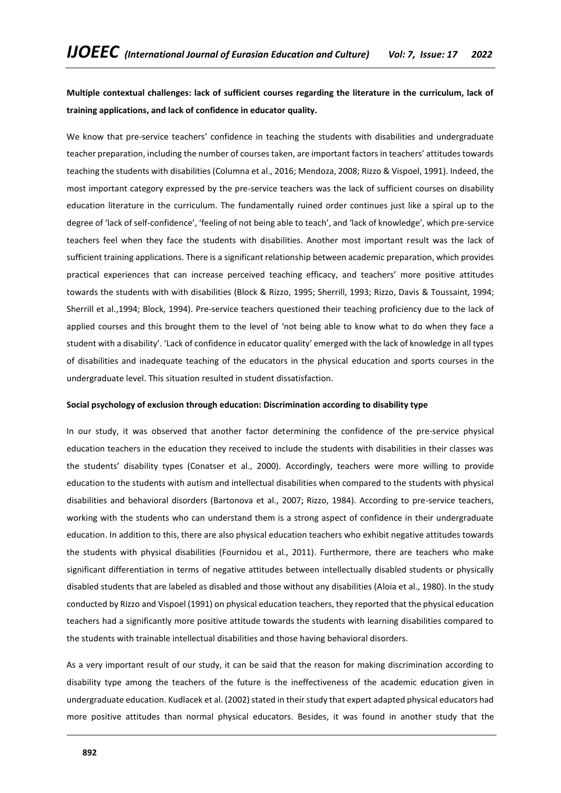**Multiple contextual challenges: lack of sufficient courses regarding the literature in the curriculum, lack of training applications, and lack of confidence in educator quality.**

We know that pre-service teachers' confidence in teaching the students with disabilities and undergraduate teacher preparation, including the number of courses taken, are important factors in teachers' attitudes towards teaching the students with disabilities (Columna et al., 2016; Mendoza, 2008; Rizzo & Vispoel, 1991). Indeed, the most important category expressed by the pre-service teachers was the lack of sufficient courses on disability education literature in the curriculum. The fundamentally ruined order continues just like a spiral up to the degree of 'lack of self-confidence', 'feeling of not being able to teach', and 'lack of knowledge', which pre-service teachers feel when they face the students with disabilities. Another most important result was the lack of sufficient training applications. There is a significant relationship between academic preparation, which provides practical experiences that can increase perceived teaching efficacy, and teachers' more positive attitudes towards the students with with disabilities (Block & Rizzo, 1995; Sherrill, 1993; Rizzo, Davis & Toussaint, 1994; Sherrill et al.,1994; Block, 1994). Pre-service teachers questioned their teaching proficiency due to the lack of applied courses and this brought them to the level of 'not being able to know what to do when they face a student with a disability'. 'Lack of confidence in educator quality' emerged with the lack of knowledge in all types of disabilities and inadequate teaching of the educators in the physical education and sports courses in the undergraduate level. This situation resulted in student dissatisfaction.

### **Social psychology of exclusion through education: Discrimination according to disability type**

In our study, it was observed that another factor determining the confidence of the pre-service physical education teachers in the education they received to include the students with disabilities in their classes was the students' disability types (Conatser et al., 2000). Accordingly, teachers were more willing to provide education to the students with autism and intellectual disabilities when compared to the students with physical disabilities and behavioral disorders (Bartonova et al., 2007; Rizzo, 1984). According to pre-service teachers, working with the students who can understand them is a strong aspect of confidence in their undergraduate education. In addition to this, there are also physical education teachers who exhibit negative attitudes towards the students with physical disabilities (Fournidou et al., 2011). Furthermore, there are teachers who make significant differentiation in terms of negative attitudes between intellectually disabled students or physically disabled students that are labeled as disabled and those without any disabilities (Aloia et al., 1980). In the study conducted by Rizzo and Vispoel (1991) on physical education teachers, they reported that the physical education teachers had a significantly more positive attitude towards the students with learning disabilities compared to the students with trainable intellectual disabilities and those having behavioral disorders.

As a very important result of our study, it can be said that the reason for making discrimination according to disability type among the teachers of the future is the ineffectiveness of the academic education given in undergraduate education. Kudlacek et al. (2002) stated in their study that expert adapted physical educators had more positive attitudes than normal physical educators. Besides, it was found in another study that the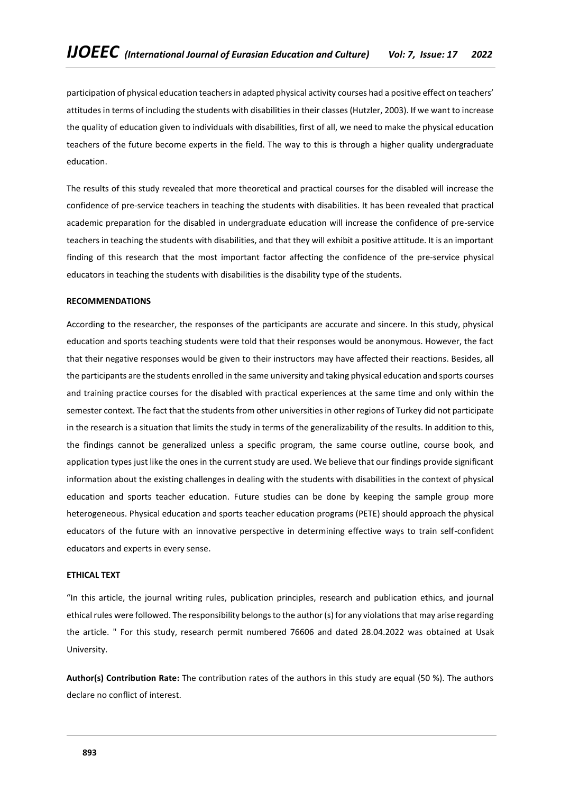participation of physical education teachers in adapted physical activity courses had a positive effect on teachers' attitudes in terms of including the students with disabilities in their classes (Hutzler, 2003). If we want to increase the quality of education given to individuals with disabilities, first of all, we need to make the physical education teachers of the future become experts in the field. The way to this is through a higher quality undergraduate education.

The results of this study revealed that more theoretical and practical courses for the disabled will increase the confidence of pre-service teachers in teaching the students with disabilities. It has been revealed that practical academic preparation for the disabled in undergraduate education will increase the confidence of pre-service teachers in teaching the students with disabilities, and that they will exhibit a positive attitude. It is an important finding of this research that the most important factor affecting the confidence of the pre-service physical educators in teaching the students with disabilities is the disability type of the students.

## **RECOMMENDATIONS**

According to the researcher, the responses of the participants are accurate and sincere. In this study, physical education and sports teaching students were told that their responses would be anonymous. However, the fact that their negative responses would be given to their instructors may have affected their reactions. Besides, all the participants are the students enrolled in the same university and taking physical education and sports courses and training practice courses for the disabled with practical experiences at the same time and only within the semester context. The fact that the students from other universities in other regions of Turkey did not participate in the research is a situation that limits the study in terms of the generalizability of the results. In addition to this, the findings cannot be generalized unless a specific program, the same course outline, course book, and application types just like the ones in the current study are used. We believe that our findings provide significant information about the existing challenges in dealing with the students with disabilities in the context of physical education and sports teacher education. Future studies can be done by keeping the sample group more heterogeneous. Physical education and sports teacher education programs (PETE) should approach the physical educators of the future with an innovative perspective in determining effective ways to train self-confident educators and experts in every sense.

### **ETHICAL TEXT**

"In this article, the journal writing rules, publication principles, research and publication ethics, and journal ethical rules were followed. The responsibility belongs to the author (s) for any violations that may arise regarding the article. " For this study, research permit numbered 76606 and dated 28.04.2022 was obtained at Usak University.

**Author(s) Contribution Rate:** The contribution rates of the authors in this study are equal (50 %). The authors declare no conflict of interest.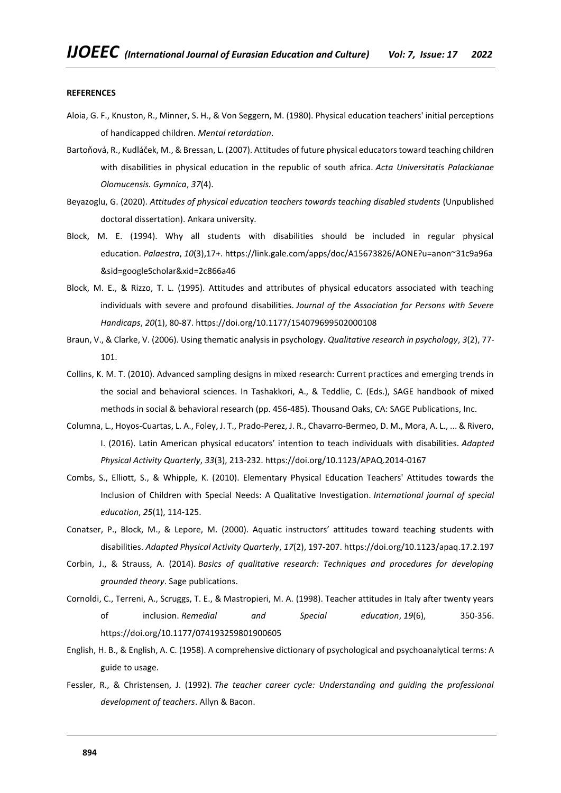#### **REFERENCES**

- Aloia, G. F., Knuston, R., Minner, S. H., & Von Seggern, M. (1980). Physical education teachers' initial perceptions of handicapped children. *Mental retardation*.
- Bartoňová, R., Kudláček, M., & Bressan, L. (2007). Attitudes of future physical educators toward teaching children with disabilities in physical education in the republic of south africa. *Acta Universitatis Palackianae Olomucensis. Gymnica*, *37*(4).
- Beyazoglu, G. (2020). *Attitudes of physical education teachers towards teaching disabled students* (Unpublished doctoral dissertation). Ankara university*.*
- Block, M. E. (1994). Why all students with disabilities should be included in regular physical education. *Palaestra*, *10*(3),17+. [https://link.gale.com/apps/doc/A15673826/AONE?u=anon~31c9a96a](https://link.gale.com/apps/doc/A15673826/AONE?u=anon~31c9a96a&sid=googleScholar&xid=2c866a46) [&sid=googleScholar&xid=2c866a46](https://link.gale.com/apps/doc/A15673826/AONE?u=anon~31c9a96a&sid=googleScholar&xid=2c866a46)
- Block, M. E., & Rizzo, T. L. (1995). Attitudes and attributes of physical educators associated with teaching individuals with severe and profound disabilities. *Journal of the Association for Persons with Severe Handicaps*, *20*(1), 80-87. [https://doi.org/10.1177/154079699502000108](https://doi.org/10.1177%2F154079699502000108)
- Braun, V., & Clarke, V. (2006). Using thematic analysis in psychology. *Qualitative research in psychology*, *3*(2), 77- 101.
- Collins, K. M. T. (2010). Advanced sampling designs in mixed research: Current practices and emerging trends in the social and behavioral sciences. In Tashakkori, A., & Teddlie, C. (Eds.), SAGE handbook of mixed methods in social & behavioral research (pp. 456-485). Thousand Oaks, CA: SAGE Publications, Inc.
- Columna, L., Hoyos-Cuartas, L. A., Foley, J. T., Prado-Perez, J. R., Chavarro-Bermeo, D. M., Mora, A. L., ... & Rivero, I. (2016). Latin American physical educators' intention to teach individuals with disabilities. *Adapted Physical Activity Quarterly*, *33*(3), 213-232.<https://doi.org/10.1123/APAQ.2014-0167>
- Combs, S., Elliott, S., & Whipple, K. (2010). Elementary Physical Education Teachers' Attitudes towards the Inclusion of Children with Special Needs: A Qualitative Investigation. *International journal of special education*, *25*(1), 114-125.
- Conatser, P., Block, M., & Lepore, M. (2000). Aquatic instructors' attitudes toward teaching students with disabilities. *Adapted Physical Activity Quarterly*, *17*(2), 197-207[. https://doi.org/10.1123/apaq.17.2.197](https://doi.org/10.1123/apaq.17.2.197)
- Corbin, J., & Strauss, A. (2014). *Basics of qualitative research: Techniques and procedures for developing grounded theory*. Sage publications.
- Cornoldi, C., Terreni, A., Scruggs, T. E., & Mastropieri, M. A. (1998). Teacher attitudes in Italy after twenty years of inclusion. *Remedial and Special education*, *19*(6), 350-356. <https://doi.org/10.1177/074193259801900605>
- English, H. B., & English, A. C. (1958). A comprehensive dictionary of psychological and psychoanalytical terms: A guide to usage.
- Fessler, R., & Christensen, J. (1992). *The teacher career cycle: Understanding and guiding the professional development of teachers*. Allyn & Bacon.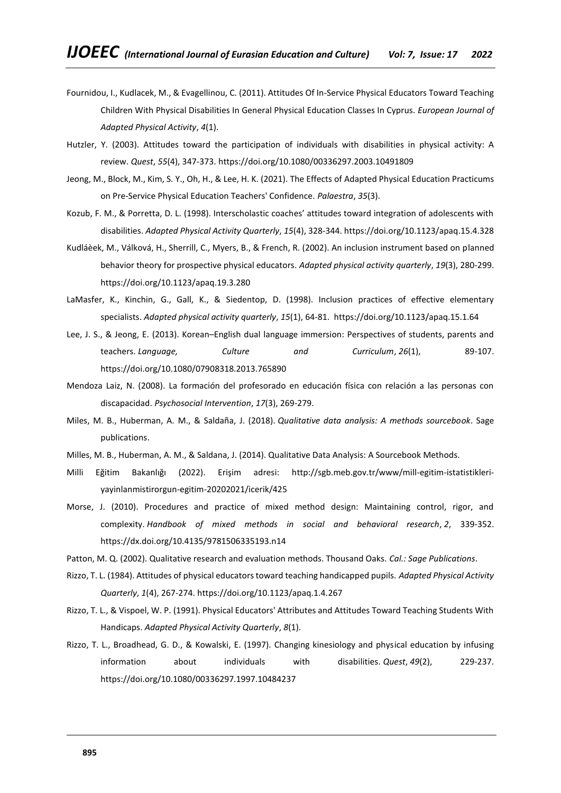- Fournidou, I., Kudlacek, M., & Evagellinou, C. (2011). Attitudes Of In-Service Physical Educators Toward Teaching Children With Physical Disabilities In General Physical Education Classes In Cyprus. *European Journal of Adapted Physical Activity*, *4*(1).
- Hutzler, Y. (2003). Attitudes toward the participation of individuals with disabilities in physical activity: A review. *Quest*, *55*(4), 347-373.<https://doi.org/10.1080/00336297.2003.10491809>
- Jeong, M., Block, M., Kim, S. Y., Oh, H., & Lee, H. K. (2021). The Effects of Adapted Physical Education Practicums on Pre-Service Physical Education Teachers' Confidence. *Palaestra*, *35*(3).
- Kozub, F. M., & Porretta, D. L. (1998). Interscholastic coaches' attitudes toward integration of adolescents with disabilities. *Adapted Physical Activity Quarterly*, *15*(4), 328-344[. https://doi.org/10.1123/apaq.15.4.328](https://doi.org/10.1123/apaq.15.4.328)
- Kudláèek, M., Válková, H., Sherrill, C., Myers, B., & French, R. (2002). An inclusion instrument based on planned behavior theory for prospective physical educators. *Adapted physical activity quarterly*, *19*(3), 280-299. <https://doi.org/10.1123/apaq.19.3.280>
- LaMasfer, K., Kinchin, G., Gall, K., & Siedentop, D. (1998). Inclusion practices of effective elementary specialists. *Adapted physical activity quarterly*, *15*(1), 64-81.<https://doi.org/10.1123/apaq.15.1.64>
- Lee, J. S., & Jeong, E. (2013). Korean–English dual language immersion: Perspectives of students, parents and teachers. *Language, Culture and Curriculum*, *26*(1), 89-107. <https://doi.org/10.1080/07908318.2013.765890>
- Mendoza Laiz, N. (2008). La formación del profesorado en educación física con relación a las personas con discapacidad. *Psychosocial Intervention*, *17*(3), 269-279.
- Miles, M. B., Huberman, A. M., & Saldaña, J. (2018). *Qualitative data analysis: A methods sourcebook*. Sage publications.
- Milles, M. B., Huberman, A. M., & Saldana, J. (2014). Qualitative Data Analysis: A Sourcebook Methods.
- Milli Eğitim Bakanlığı (2022). Erişim adresi: [http://sgb.meb.gov.tr/www/mill-egitim-istatistikleri](http://sgb.meb.gov.tr/www/mill-egitim-istatistikleri-yayinlanmistirorgun-egitim-20202021/icerik/425)[yayinlanmistirorgun-egitim-20202021/icerik/425](http://sgb.meb.gov.tr/www/mill-egitim-istatistikleri-yayinlanmistirorgun-egitim-20202021/icerik/425)
- Morse, J. (2010). Procedures and practice of mixed method design: Maintaining control, rigor, and complexity. *Handbook of mixed methods in social and behavioral research*, *2*, 339-352. <https://dx.doi.org/10.4135/9781506335193.n14>
- Patton, M. Q. (2002). Qualitative research and evaluation methods. Thousand Oaks. *Cal.: Sage Publications*.
- Rizzo, T. L. (1984). Attitudes of physical educators toward teaching handicapped pupils. *Adapted Physical Activity Quarterly*, *1*(4), 267-274[. https://doi.org/10.1123/apaq.1.4.267](https://doi.org/10.1123/apaq.1.4.267)
- Rizzo, T. L., & Vispoel, W. P. (1991). Physical Educators' Attributes and Attitudes Toward Teaching Students With Handicaps. *Adapted Physical Activity Quarterly*, *8*(1).
- Rizzo, T. L., Broadhead, G. D., & Kowalski, E. (1997). Changing kinesiology and physical education by infusing information about individuals with disabilities. *Quest*, *49*(2), 229-237. <https://doi.org/10.1080/00336297.1997.10484237>